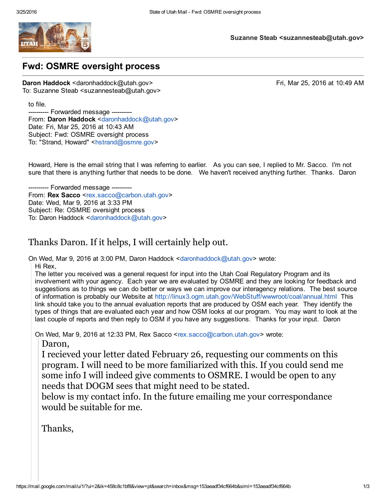

Suzanne Steab <suzannesteab@utah.gov>

## Fwd: OSMRE oversight process

Daron Haddock <daronhaddock@utah.gov> Fri, Mar 25, 2016 at 10:49 AM To: Suzanne Steab <suzannesteab@utah.gov>

to file. --------- Forwarded message ---------From: Daron Haddock <[daronhaddock@utah.gov](mailto:daronhaddock@utah.gov)> Date: Fri, Mar 25, 2016 at 10:43 AM Subject: Fwd: OSMRE oversight process To: "Strand, Howard" <[hstrand@osmre.gov>](mailto:hstrand@osmre.gov)

Howard, Here is the email string that I was referring to earlier. As you can see, I replied to Mr. Sacco. I'm not sure that there is anything further that needs to be done. We haven't received anything further. Thanks. Daron

---------- Forwarded message ---From: Rex Sacco <[rex.sacco@carbon.utah.gov>](mailto:rex.sacco@carbon.utah.gov) Date: Wed, Mar 9, 2016 at 3:33 PM Subject: Re: OSMRE oversight process To: Daron Haddock <[daronhaddock@utah.gov>](mailto:daronhaddock@utah.gov)

## Thanks Daron. If it helps, I will certainly help out.

On Wed, Mar 9, 2016 at 3:00 PM, Daron Haddock <[daronhaddock@utah.gov](mailto:daronhaddock@utah.gov)> wrote: Hi Rex,

The letter you received was a general request for input into the Utah Coal Regulatory Program and its involvement with your agency. Each year we are evaluated by OSMRE and they are looking for feedback and suggestions as to things we can do better or ways we can improve our interagency relations. The best source of information is probably our Website at <http://linux3.ogm.utah.gov/WebStuff/wwwroot/coal/annual.html> This link should take you to the annual evaluation reports that are produced by OSM each year. They identify the types of things that are evaluated each year and how OSM looks at our program. You may want to look at the last couple of reports and then reply to OSM if you have any suggestions. Thanks for your input. Daron

On Wed, Mar 9, 2016 at 12:33 PM, Rex Sacco <[rex.sacco@carbon.utah.gov>](mailto:rex.sacco@carbon.utah.gov) wrote:

Daron,

I recieved your letter dated February 26, requesting our comments on this program. I will need to be more familiarized with this. If you could send me some info I will indeed give comments to OSMRE. I would be open to any needs that DOGM sees that might need to be stated.

below is my contact info. In the future emailing me your correspondance would be suitable for me.

Thanks,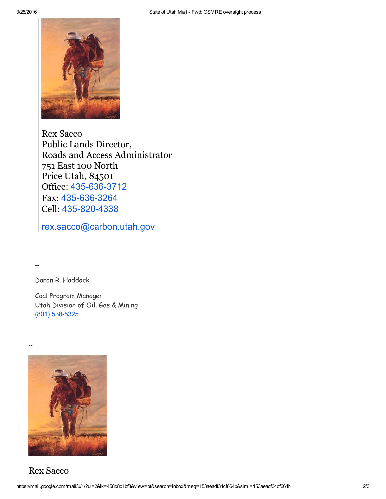

Rex Sacco Public Lands Director, Roads and Access Administrator 751 East 100 North Price Utah, 84501 Office: 435-636-3712 Fax: 435-636-3264 Cell: 435-820-4338

[rex.sacco@carbon.utah.gov](mailto:rex.sacco@carbon.utah.gov)

Daron R. Haddock

--

Coal Program Manager Utah Division of Oil, Gas & Mining (801) 538-5325



Rex Sacco